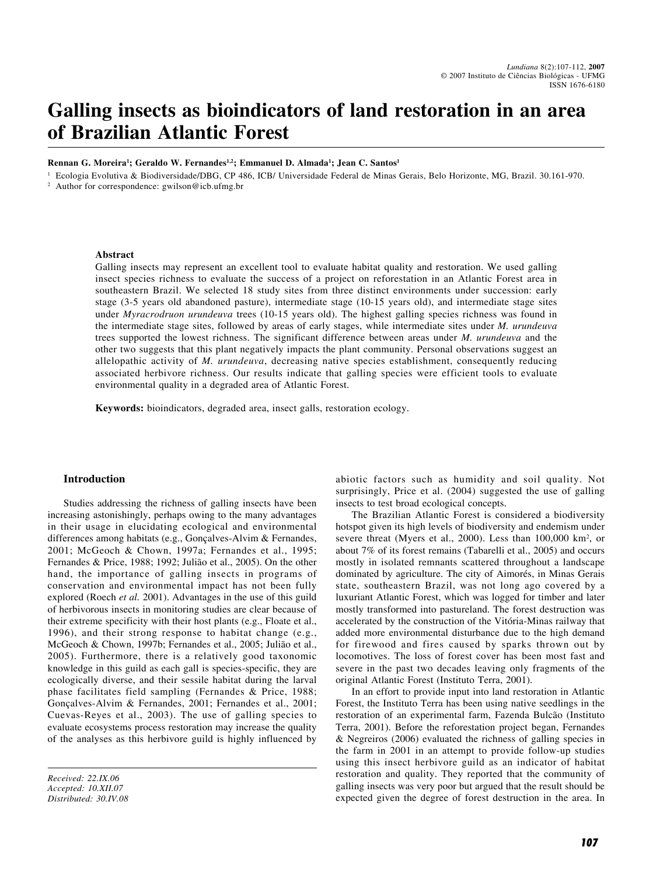# **Galling insects as bioindicators of land restoration in an area of Brazilian Atlantic Forest**

**Rennan G. Moreira<sup>1</sup>; Geraldo W. Fernandes<sup>1,2</sup>; Emmanuel D. Almada<sup>1</sup>; Jean C. Santos<sup>1</sup>** 

<sup>1</sup> Ecologia Evolutiva & Biodiversidade/DBG, CP 486, ICB/ Universidade Federal de Minas Gerais, Belo Horizonte, MG, Brazil. 30.161-970. Author for correspondence: gwilson@icb.ufmg.br

#### **Abstract**

Galling insects may represent an excellent tool to evaluate habitat quality and restoration. We used galling insect species richness to evaluate the success of a project on reforestation in an Atlantic Forest area in southeastern Brazil. We selected 18 study sites from three distinct environments under succession: early stage (3-5 years old abandoned pasture), intermediate stage (10-15 years old), and intermediate stage sites under *Myracrodruon urundeuva* trees (10-15 years old). The highest galling species richness was found in the intermediate stage sites, followed by areas of early stages, while intermediate sites under *M. urundeuva* trees supported the lowest richness. The significant difference between areas under *M. urundeuva* and the other two suggests that this plant negatively impacts the plant community. Personal observations suggest an allelopathic activity of *M. urundeuva*, decreasing native species establishment, consequently reducing associated herbivore richness. Our results indicate that galling species were efficient tools to evaluate environmental quality in a degraded area of Atlantic Forest.

**Keywords:** bioindicators, degraded area, insect galls, restoration ecology.

## **Introduction**

Studies addressing the richness of galling insects have been increasing astonishingly, perhaps owing to the many advantages in their usage in elucidating ecological and environmental differences among habitats (e.g., Gonçalves-Alvim & Fernandes, 2001; McGeoch & Chown, 1997a; Fernandes et al., 1995; Fernandes & Price, 1988; 1992; Julião et al., 2005). On the other hand, the importance of galling insects in programs of conservation and environmental impact has not been fully explored (Roech *et al.* 2001). Advantages in the use of this guild of herbivorous insects in monitoring studies are clear because of their extreme specificity with their host plants (e.g., Floate et al., 1996), and their strong response to habitat change (e.g., McGeoch & Chown, 1997b; Fernandes et al., 2005; Julião et al., 2005). Furthermore, there is a relatively good taxonomic knowledge in this guild as each gall is species-specific, they are ecologically diverse, and their sessile habitat during the larval phase facilitates field sampling (Fernandes & Price, 1988; Gonçalves-Alvim & Fernandes, 2001; Fernandes et al., 2001; Cuevas-Reyes et al., 2003). The use of galling species to evaluate ecosystems process restoration may increase the quality of the analyses as this herbivore guild is highly influenced by

*Received: 22.IX.06 Accepted: 10.XII.07 Distributed: 30.IV.08* abiotic factors such as humidity and soil quality. Not surprisingly, Price et al. (2004) suggested the use of galling insects to test broad ecological concepts.

The Brazilian Atlantic Forest is considered a biodiversity hotspot given its high levels of biodiversity and endemism under severe threat (Myers et al., 2000). Less than 100,000 km<sup>2</sup>, or about 7% of its forest remains (Tabarelli et al., 2005) and occurs mostly in isolated remnants scattered throughout a landscape dominated by agriculture. The city of Aimorés, in Minas Gerais state, southeastern Brazil, was not long ago covered by a luxuriant Atlantic Forest, which was logged for timber and later mostly transformed into pastureland. The forest destruction was accelerated by the construction of the Vitória-Minas railway that added more environmental disturbance due to the high demand for firewood and fires caused by sparks thrown out by locomotives. The loss of forest cover has been most fast and severe in the past two decades leaving only fragments of the original Atlantic Forest (Instituto Terra, 2001).

In an effort to provide input into land restoration in Atlantic Forest, the Instituto Terra has been using native seedlings in the restoration of an experimental farm, Fazenda Bulcão (Instituto Terra, 2001). Before the reforestation project began, Fernandes & Negreiros (2006) evaluated the richness of galling species in the farm in 2001 in an attempt to provide follow-up studies using this insect herbivore guild as an indicator of habitat restoration and quality. They reported that the community of galling insects was very poor but argued that the result should be expected given the degree of forest destruction in the area. In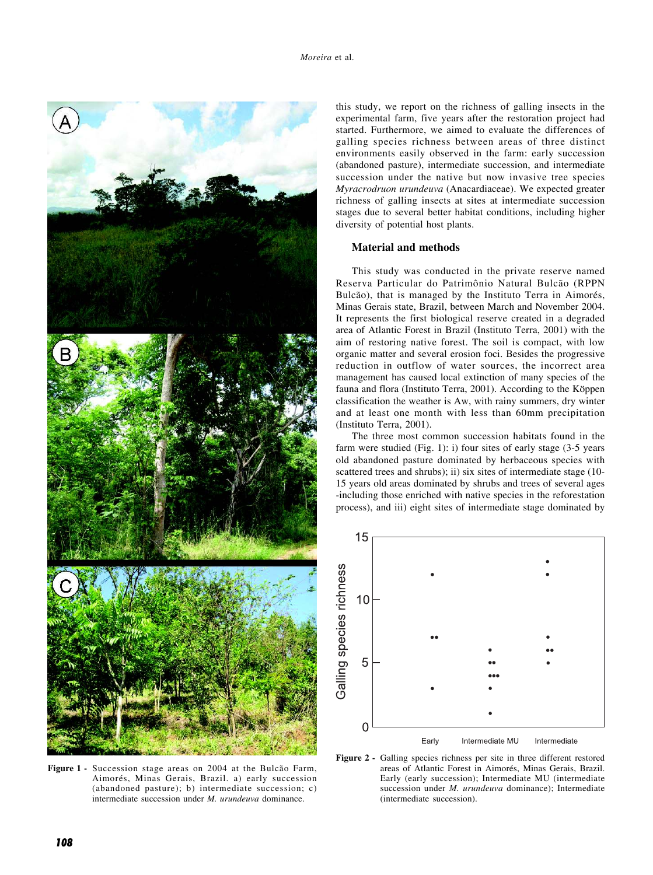

**Figure 1 -** Succession stage areas on 2004 at the Bulcão Farm, Aimorés, Minas Gerais, Brazil. a) early succession (abandoned pasture); b) intermediate succession; c) intermediate succession under *M. urundeuva* dominance.

this study, we report on the richness of galling insects in the experimental farm, five years after the restoration project had started. Furthermore, we aimed to evaluate the differences of galling species richness between areas of three distinct environments easily observed in the farm: early succession (abandoned pasture), intermediate succession, and intermediate succession under the native but now invasive tree species *Myracrodruon urundeuva* (Anacardiaceae). We expected greater richness of galling insects at sites at intermediate succession stages due to several better habitat conditions, including higher diversity of potential host plants.

## **Material and methods**

This study was conducted in the private reserve named Reserva Particular do Patrimônio Natural Bulcão (RPPN Bulcão), that is managed by the Instituto Terra in Aimorés, Minas Gerais state, Brazil, between March and November 2004. It represents the first biological reserve created in a degraded area of Atlantic Forest in Brazil (Instituto Terra, 2001) with the aim of restoring native forest. The soil is compact, with low organic matter and several erosion foci. Besides the progressive reduction in outflow of water sources, the incorrect area management has caused local extinction of many species of the fauna and flora (Instituto Terra, 2001). According to the Köppen classification the weather is Aw, with rainy summers, dry winter and at least one month with less than 60mm precipitation (Instituto Terra, 2001).

The three most common succession habitats found in the farm were studied (Fig. 1): i) four sites of early stage (3-5 years old abandoned pasture dominated by herbaceous species with scattered trees and shrubs); ii) six sites of intermediate stage (10-15 years old areas dominated by shrubs and trees of several ages -including those enriched with native species in the reforestation process), and iii) eight sites of intermediate stage dominated by



**Figure 2 -** Galling species richness per site in three different restored areas of Atlantic Forest in Aimorés, Minas Gerais, Brazil. Early (early succession); Intermediate MU (intermediate succession under *M. urundeuva* dominance); Intermediate (intermediate succession).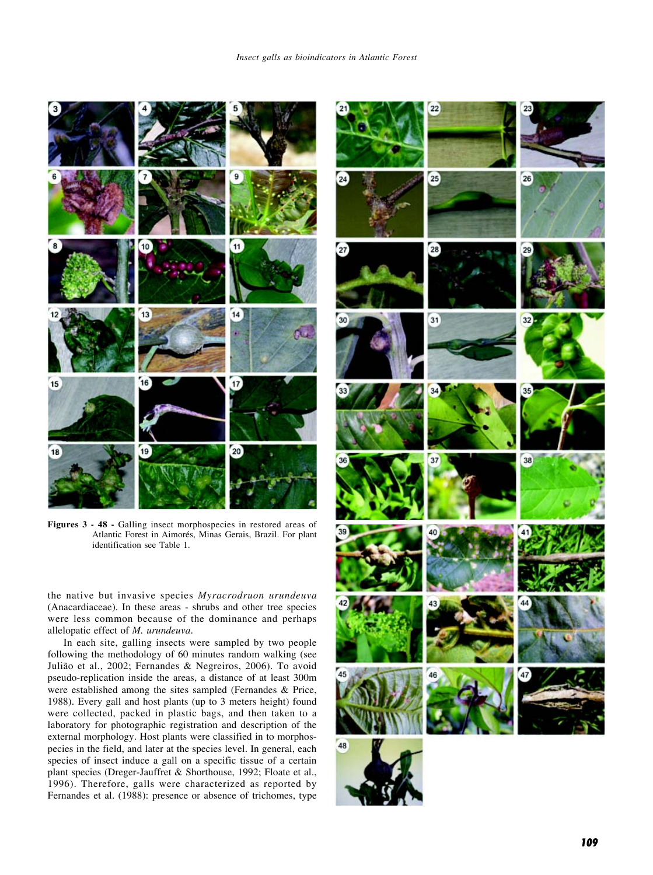

**Figures 3 - 48 -** Galling insect morphospecies in restored areas of Atlantic Forest in Aimorés, Minas Gerais, Brazil. For plant identification see Table 1.

the native but invasive species *Myracrodruon urundeuva* (Anacardiaceae). In these areas - shrubs and other tree species were less common because of the dominance and perhaps allelopatic effect of *M. urundeuva*.

In each site, galling insects were sampled by two people following the methodology of 60 minutes random walking (see Julião et al., 2002; Fernandes & Negreiros, 2006). To avoid pseudo-replication inside the areas, a distance of at least 300m were established among the sites sampled (Fernandes & Price, 1988). Every gall and host plants (up to 3 meters height) found were collected, packed in plastic bags, and then taken to a laboratory for photographic registration and description of the external morphology. Host plants were classified in to morphospecies in the field, and later at the species level. In general, each species of insect induce a gall on a specific tissue of a certain plant species (Dreger-Jauffret & Shorthouse, 1992; Floate et al., 1996). Therefore, galls were characterized as reported by Fernandes et al. (1988): presence or absence of trichomes, type

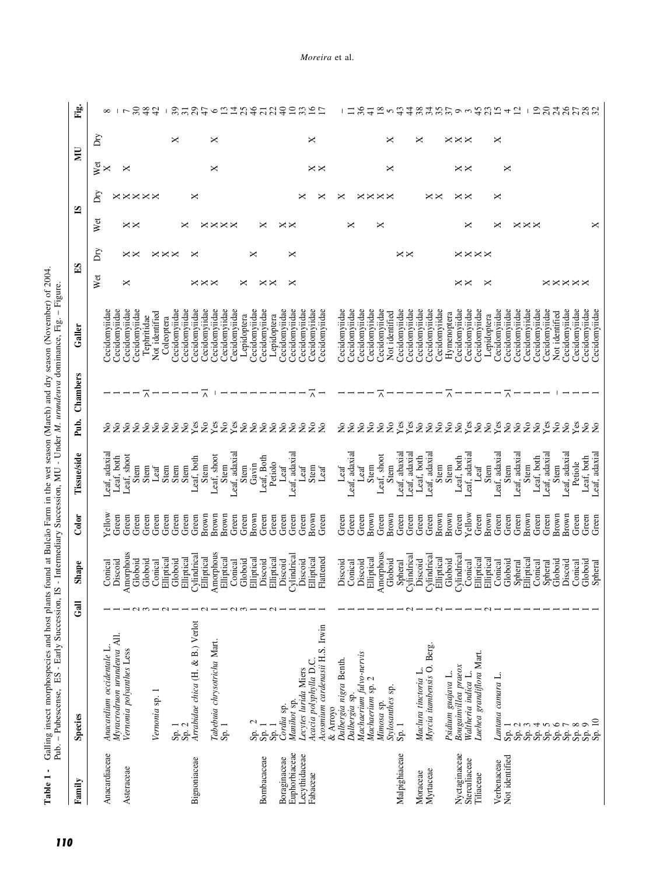Table 1 - Galling insect morphospecies and host plants found at Bulcão Farm in the wet season (March) and dry season (November) of 2004.<br>Pub. - Pubescense, ES - Early Succession, IS - Intermediary Succession, MU - Under M. **Table 1 -** Galling insect morphospecies and host plants found at Bulcão Farm in the wet season (March) and dry season (November) of 2004. Pub. – Pubescense, ES - Early Succession, IS - Intermediary Succession, MU - Under *M. urundeuva* dominance, Fig. – Figure.

| Family                         | Species                                                 | ڇ | Shape                    | Color          | <b>Tissue/side</b>             | Pub.                                     | Chambers            | Galler                         | $\mathbf{E}$         |                | ≌                    |                | Ē              |                      | È                           |
|--------------------------------|---------------------------------------------------------|---|--------------------------|----------------|--------------------------------|------------------------------------------|---------------------|--------------------------------|----------------------|----------------|----------------------|----------------|----------------|----------------------|-----------------------------|
|                                |                                                         |   |                          |                |                                |                                          |                     |                                | Wet                  | Dгу            | Wet                  | δ              | Wet            | Dry                  |                             |
| Anacardiaceae                  | Anacardium occidentale L.                               |   | Conical                  | Yellow         | Leaf, adaxial                  |                                          |                     | Cecidomyiidae                  |                      |                |                      |                | ×              |                      | $\infty$                    |
| Asteraceae                     | Myracrodruon urundeuva All.<br>Vernonia polyanthes Less |   | Amorphous<br>Discoid     | Green<br>Green | Leaf, shoot<br>Leaf, both      | $\tilde{z}$<br>$\mathsf{S}^{\mathsf{O}}$ |                     | Cecidomyiidae<br>Cecidomyiidae | ×                    |                |                      | <b>××××××</b>  | ×              |                      |                             |
|                                |                                                         |   | Globoid                  | Green          | Stem                           |                                          |                     | Cecidomyiidae                  |                      | $\times\times$ | $\times\times$       |                |                |                      | 5844                        |
|                                |                                                         |   | Globoid                  | Green          | Stem                           |                                          | $\overline{\wedge}$ | Tephritidae                    |                      |                |                      |                |                |                      |                             |
|                                | Vernonia sp.                                            |   | Conical                  | Green          | $\mathsf{Leaf}$                |                                          |                     | Not identified                 |                      |                |                      |                |                |                      |                             |
|                                |                                                         |   | Elliptical               | Green          | Stem                           |                                          |                     | Coleoptera                     |                      |                |                      |                |                |                      | $\mathbf{I}$                |
|                                | $\frac{Sp.1}{Sp.2}$                                     |   | Globoid                  | Green<br>Green | Stem                           |                                          |                     | Cecidomyiidae                  |                      |                |                      |                |                | ×                    |                             |
| Bignoniaceae                   | Arrabidae chica (H. & B.) Verlot                        |   | Cylindrica<br>Elliptical | Green          | Leaf, both<br>Stem             |                                          |                     | Cecidomyiidae<br>Cecidomyiidae |                      |                | ×                    | ×              |                |                      |                             |
|                                |                                                         |   | Elliptical               | Brown          | Stem                           | 22222232323222222222                     | $\overline{\wedge}$ | Cecidomyiidae                  | $\times\times\times$ |                |                      |                |                |                      | 3737                        |
|                                | Tabebuia chrysotricha Mart.                             |   | Amorphous                | Brown          | Leaf, shoot                    |                                          |                     | Cecidomyiidae                  |                      |                |                      |                | ×              | ×                    | $\circ$                     |
|                                | Sp.1                                                    |   | Elliptical               | Brown          | Stem                           |                                          |                     | Cecidomyiidae                  |                      |                | $\times\times$       |                |                |                      | $\frac{13}{4}$              |
|                                |                                                         |   | Conical                  | Green          | Leaf, adaxial                  |                                          |                     | Cecidomyiidae                  |                      |                |                      |                |                |                      |                             |
|                                |                                                         |   | Globoid                  | Green          | Stem                           |                                          |                     | Lepidoptera                    | ∝                    |                |                      |                |                |                      | 25                          |
|                                | $\mathbf{\sim}$<br>Sp.                                  |   | Elliptical               | Brown          | Gavin                          |                                          |                     | Cecidomyiidae                  |                      | ×              |                      |                |                |                      | $rac{46}{21}$               |
| Bombacaceae                    | Sp.                                                     |   | Discoid                  | Green          | Leaf, Both                     |                                          |                     | Cecidomyiidae                  | $\times\times$       |                | ×                    |                |                |                      | 22                          |
|                                | $s_{p.}$                                                |   | Elliptical               | Green          | Petiolo                        |                                          |                     | Lepidoptera                    |                      |                |                      |                |                |                      | $\overline{4}$              |
| Boraginaceae                   | Manihot sp.<br>Cordia sp.                               |   | Cylindrica<br>Discoid    | Green<br>Green | Leaf, adaxial<br>Leaf          |                                          |                     | Cecidomyiidae<br>Cecidomyiidae | ×                    | ×              | $\times\times$       |                |                |                      | $\overline{10}$             |
| Euphorbiaceae<br>Lecythidaceae | Lecytes lurida Miers                                    |   | Discoid                  | Green          | $Let$                          |                                          |                     | Cecidomyiidae                  |                      |                |                      |                |                |                      | 33                          |
| Fabaceae                       | Acacia polyphylla D.C.                                  |   | Elliptical               | Brown          | Stem                           |                                          | ⊼                   | Cecidomyiidae                  |                      |                |                      |                |                | ×                    | $\approx$                   |
|                                | Acosmium cardenasii H.S. Irwin                          |   | Flattened                | Green          | Leaf                           |                                          |                     | Cecidomyiidae                  |                      |                |                      |                | $\times\times$ |                      | $\overline{1}$              |
|                                | & Arroyo                                                |   |                          |                |                                |                                          |                     |                                |                      |                |                      |                |                |                      |                             |
|                                | Dalbergia nigra Benth.                                  |   | Discoid                  | Green          | Leaf                           | 2g                                       |                     | Cecidomyiidae                  |                      |                |                      | ×              |                |                      |                             |
|                                | Dalbergia sp.                                           |   | Conical                  | Green          | Leaf, adaxial                  |                                          |                     | Cecidomyiidae                  |                      |                | ×                    |                |                |                      | Ξ                           |
|                                | Machaerium fulvo-nervis<br>Machaerium sp. 2             |   | Elliptical<br>Discoid    | Brown<br>Green | Stem<br>Leaf                   | $\overline{\mathsf{X}}$                  |                     | Cecidomyiidae<br>Cecidomyiidae |                      |                |                      | $\times\times$ |                |                      | $\frac{36}{5}$<br>$\exists$ |
|                                | Mimosa sp.                                              |   | Amorphous                | Green          | Leaf, shoot                    |                                          | ⊼                   | Cecidomyiidae                  |                      |                | ×                    |                |                |                      | $\frac{8}{18}$              |
|                                | Stylosanthes sp.                                        |   | Globoid                  | Brown          | Stem                           |                                          |                     | Not identified                 |                      |                |                      | $\times\times$ | ×              | ×                    | 5                           |
| Malpighiaceae                  | $S_{p.}$ 1                                              |   |                          | Green          |                                |                                          |                     | Cecidomyiidae                  |                      |                |                      |                |                |                      |                             |
|                                |                                                         |   | Spheral<br>Cylindrical   | Green          | Leaf, abaxial<br>Leaf, adaxial |                                          |                     | Cecidomyiidae                  |                      | $\times\times$ |                      |                |                |                      | 448                         |
| Moraceae                       | Maclura tinctoria L.                                    |   | Discoid                  | Green          | Leaf, both                     |                                          |                     | Cecidomyiidae                  |                      |                |                      |                |                | ×                    |                             |
| Myrtaceae                      | Myrcia itambensis O. Berg.                              |   | Vlindrica<br>Elliptical  | Brown<br>Green | Leaf, adaxial<br>Stem          |                                          |                     | Cecidomyiidae<br>Cecidomyiidae |                      |                |                      | $\times\times$ |                |                      | 355                         |
|                                | Psidium guajava L.                                      |   | Globoid                  | Brown          | Stem                           |                                          | ⊼                   | Hymenoptera                    |                      |                |                      |                |                |                      |                             |
| Nyctaginaceae                  | Bougainvillea praeox                                    |   | Cylindrical              | Green          | Leaf, both                     |                                          |                     | Cecidomyiidae                  |                      |                |                      |                |                | $\times\times\times$ |                             |
| Sterculiaceae                  | Waltheria indica L.                                     |   | Conical                  | Yellow         | Leaf, adaxia                   |                                          |                     | Cecidomyiidae                  | $\times\times$       | <b>××××</b>    | ×                    | $\times\times$ | $\times\times$ |                      | 9.992                       |
| Tiliaceae                      | Luehea grandiflora Mart.                                |   | Elliptical               | Green          | Leaf                           |                                          |                     | Cecidomyiidae                  |                      |                |                      |                |                |                      |                             |
|                                |                                                         |   | Elliptical               | Brown          | Stem                           |                                          |                     | Lepidoptera                    |                      |                |                      |                |                |                      |                             |
| Verbenaceae                    | Lantana camara L                                        |   | Conical                  | Green          | Leaf, adaxial                  | 22233222223223222                        |                     | Cecidomyiidae                  |                      |                |                      | ×              |                | ×                    | $15 + 2$                    |
| Not identified                 | Sp.1                                                    |   | Globoid<br>Spheral       | Green<br>Green | Leaf, adaxial<br>Stem          |                                          | ⊼                   | Cecidomyiidae<br>Cecidomyiidae |                      |                |                      |                | ×              |                      |                             |
|                                | Sp.<br>Sp.                                              |   | Elliptical               | Brown          | Stem                           |                                          |                     | Cecidomyiidae                  |                      |                | $\times\times\times$ |                |                |                      | $\mathbf{I}$                |
|                                | Sp.                                                     |   | Conical                  | Green          | Leaf, both                     |                                          |                     | Cecidomyiidae                  |                      |                |                      |                |                |                      | $\overline{1}$              |
|                                | Sp.                                                     |   | Spheral                  | Green          | Leaf, adaxial                  | <b>Les</b>                               |                     | Cecidomyiidae                  |                      |                |                      |                |                |                      |                             |
|                                | Sp.                                                     |   | Globoid                  | Brown          | Stem                           | 22                                       |                     | Not identified                 | <b>××××××</b>        |                |                      |                |                |                      | $\frac{84}{5}$              |
|                                | Sp.                                                     |   | Discoid                  | Brown          | Leaf, adaxia                   |                                          |                     | Cecidomyiidae                  |                      |                |                      |                |                |                      | 26                          |
|                                | Sp.                                                     |   | Conica                   | Green          | Petiole                        | Yes                                      |                     | Cecidomyiidae                  |                      |                |                      |                |                |                      |                             |
|                                | ရာ<br>အိမ်                                              |   | Globoid                  | Green          | Leaf, both                     | 2g                                       |                     | Cecidomyiidae                  |                      |                |                      |                |                |                      |                             |
|                                |                                                         |   | Spheral                  | Green          | Leaf, adaxial                  |                                          |                     | Cecidomyiidae                  |                      |                | ×                    |                |                |                      |                             |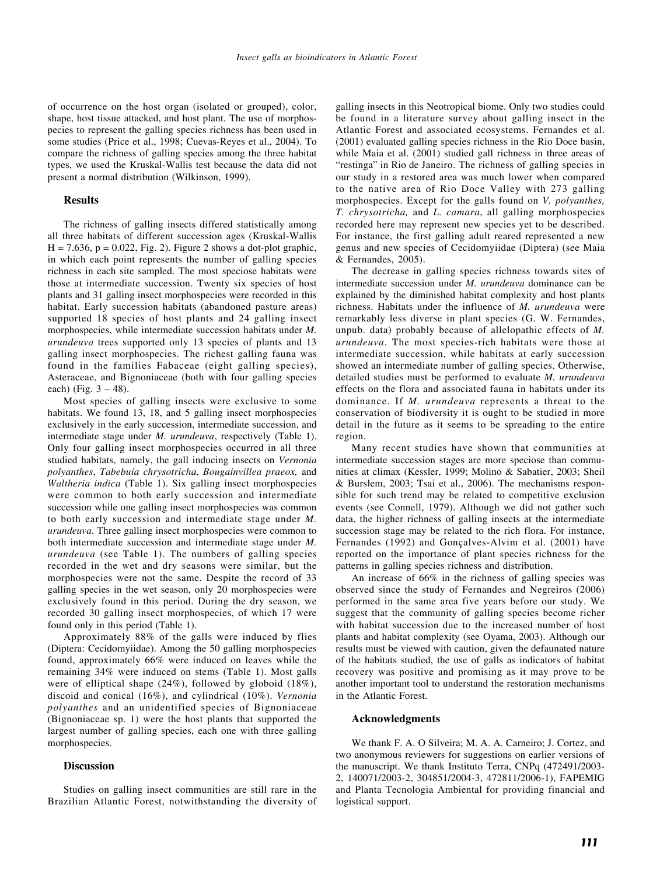of occurrence on the host organ (isolated or grouped), color, shape, host tissue attacked, and host plant. The use of morphospecies to represent the galling species richness has been used in some studies (Price et al., 1998; Cuevas-Reyes et al., 2004). To compare the richness of galling species among the three habitat types, we used the Kruskal-Wallis test because the data did not present a normal distribution (Wilkinson, 1999).

#### **Results**

The richness of galling insects differed statistically among all three habitats of different succession ages (Kruskal-Wallis  $H = 7.636$ ,  $p = 0.022$ , Fig. 2). Figure 2 shows a dot-plot graphic, in which each point represents the number of galling species richness in each site sampled. The most speciose habitats were those at intermediate succession. Twenty six species of host plants and 31 galling insect morphospecies were recorded in this habitat. Early succession habitats (abandoned pasture areas) supported 18 species of host plants and 24 galling insect morphospecies, while intermediate succession habitats under *M. urundeuva* trees supported only 13 species of plants and 13 galling insect morphospecies. The richest galling fauna was found in the families Fabaceae (eight galling species), Asteraceae, and Bignoniaceae (both with four galling species each) (Fig.  $3 - 48$ ).

Most species of galling insects were exclusive to some habitats. We found 13, 18, and 5 galling insect morphospecies exclusively in the early succession, intermediate succession, and intermediate stage under *M. urundeuva*, respectively (Table 1). Only four galling insect morphospecies occurred in all three studied habitats, namely, the gall inducing insects on *Vernonia polyanthes*, *Tabebuia chrysotricha*, *Bougainvillea praeox,* and *Waltheria indica* (Table 1). Six galling insect morphospecies were common to both early succession and intermediate succession while one galling insect morphospecies was common to both early succession and intermediate stage under *M. urundeuva*. Three galling insect morphospecies were common to both intermediate succession and intermediate stage under *M. urundeuva* (see Table 1). The numbers of galling species recorded in the wet and dry seasons were similar, but the morphospecies were not the same. Despite the record of 33 galling species in the wet season, only 20 morphospecies were exclusively found in this period. During the dry season, we recorded 30 galling insect morphospecies, of which 17 were found only in this period (Table 1).

Approximately 88% of the galls were induced by flies (Diptera: Cecidomyiidae). Among the 50 galling morphospecies found, approximately 66% were induced on leaves while the remaining 34% were induced on stems (Table 1). Most galls were of elliptical shape (24%), followed by globoid (18%), discoid and conical (16%), and cylindrical (10%). *Vernonia polyanthes* and an unidentified species of Bignoniaceae (Bignoniaceae sp. 1) were the host plants that supported the largest number of galling species, each one with three galling morphospecies.

#### **Discussion**

Studies on galling insect communities are still rare in the Brazilian Atlantic Forest, notwithstanding the diversity of galling insects in this Neotropical biome. Only two studies could be found in a literature survey about galling insect in the Atlantic Forest and associated ecosystems. Fernandes et al. (2001) evaluated galling species richness in the Rio Doce basin, while Maia et al. (2001) studied gall richness in three areas of "restinga" in Rio de Janeiro. The richness of galling species in our study in a restored area was much lower when compared to the native area of Rio Doce Valley with 273 galling morphospecies. Except for the galls found on *V. polyanthes, T. chrysotricha,* and *L. camara*, all galling morphospecies recorded here may represent new species yet to be described. For instance, the first galling adult reared represented a new genus and new species of Cecidomyiidae (Diptera) (see Maia & Fernandes, 2005).

The decrease in galling species richness towards sites of intermediate succession under *M. urundeuva* dominance can be explained by the diminished habitat complexity and host plants richness. Habitats under the influence of *M. urundeuva* were remarkably less diverse in plant species (G. W. Fernandes, unpub. data) probably because of allelopathic effects of *M. urundeuva*. The most species-rich habitats were those at intermediate succession, while habitats at early succession showed an intermediate number of galling species. Otherwise, detailed studies must be performed to evaluate *M. urundeuva* effects on the flora and associated fauna in habitats under its dominance. If *M. urundeuva* represents a threat to the conservation of biodiversity it is ought to be studied in more detail in the future as it seems to be spreading to the entire region.

Many recent studies have shown that communities at intermediate succession stages are more speciose than communities at climax (Kessler, 1999; Molino & Sabatier, 2003; Sheil & Burslem, 2003; Tsai et al., 2006). The mechanisms responsible for such trend may be related to competitive exclusion events (see Connell, 1979). Although we did not gather such data, the higher richness of galling insects at the intermediate succession stage may be related to the rich flora. For instance, Fernandes (1992) and Gonçalves-Alvim et al. (2001) have reported on the importance of plant species richness for the patterns in galling species richness and distribution.

An increase of 66% in the richness of galling species was observed since the study of Fernandes and Negreiros (2006) performed in the same area five years before our study. We suggest that the community of galling species become richer with habitat succession due to the increased number of host plants and habitat complexity (see Oyama, 2003). Although our results must be viewed with caution, given the defaunated nature of the habitats studied, the use of galls as indicators of habitat recovery was positive and promising as it may prove to be another important tool to understand the restoration mechanisms in the Atlantic Forest.

#### **Acknowledgments**

We thank F. A. O Silveira; M. A. A. Carneiro; J. Cortez, and two anonymous reviewers for suggestions on earlier versions of the manuscript. We thank Instituto Terra, CNPq (472491/2003- 2, 140071/2003-2, 304851/2004-3, 472811/2006-1), FAPEMIG and Planta Tecnologia Ambiental for providing financial and logistical support.